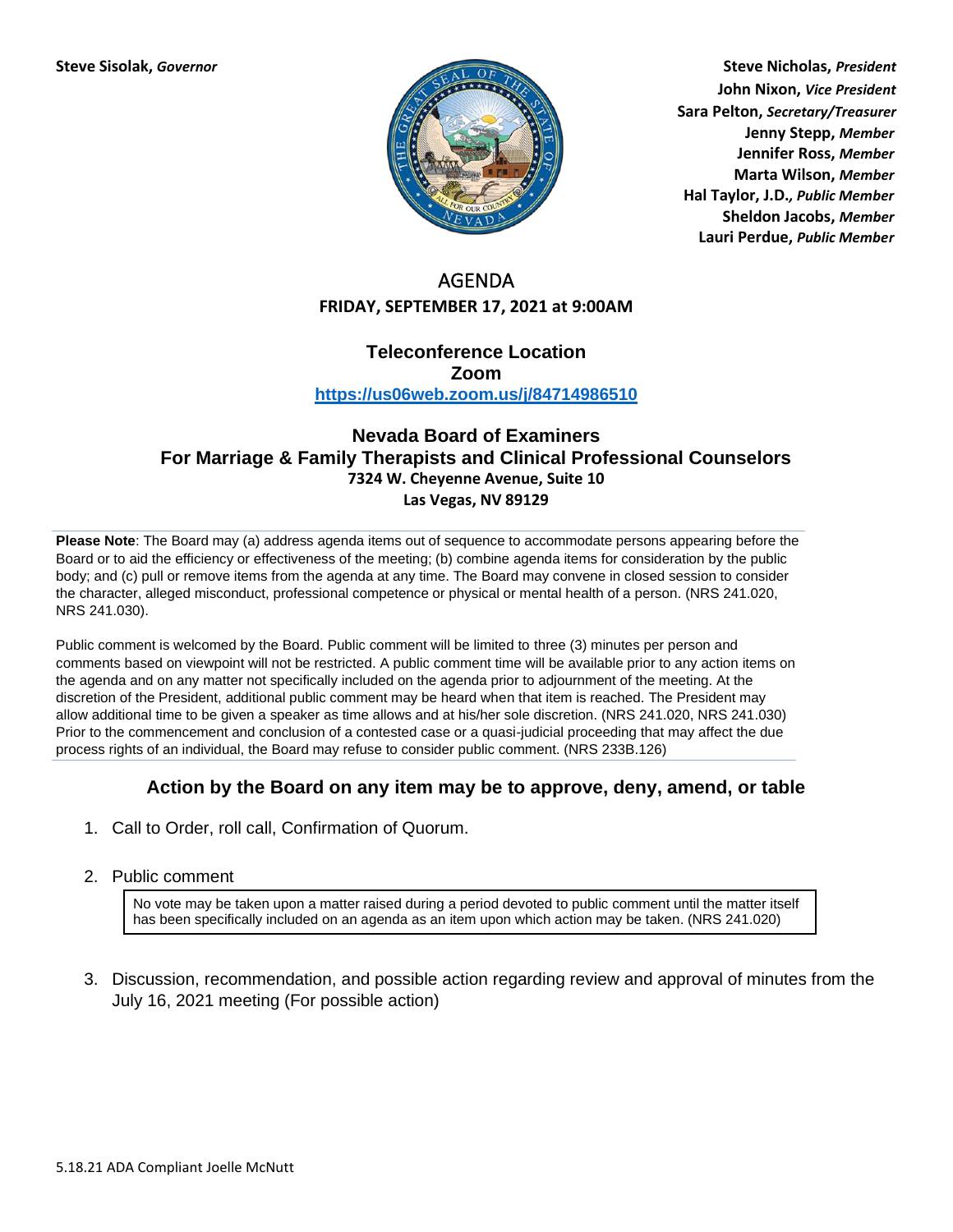

**Steve Sisolak,** *Governor* **Steve Nicholas,** *President* **John Nixon,** *Vice President* **Sara Pelton,** *Secretary/Treasurer* **Jenny Stepp,** *Member* **Jennifer Ross,** *Member* **Marta Wilson,** *Member* **Hal Taylor, J.D.***, Public Member* **Sheldon Jacobs,** *Member* **Lauri Perdue,** *Public Member*

# AGENDA **FRIDAY, SEPTEMBER 17, 2021 at 9:00AM**

#### **Teleconference Location Zoom <https://us06web.zoom.us/j/84714986510>**

### **Nevada Board of Examiners For Marriage & Family Therapists and Clinical Professional Counselors 7324 W. Cheyenne Avenue, Suite 10 Las Vegas, NV 89129**

**Please Note**: The Board may (a) address agenda items out of sequence to accommodate persons appearing before the Board or to aid the efficiency or effectiveness of the meeting; (b) combine agenda items for consideration by the public body; and (c) pull or remove items from the agenda at any time. The Board may convene in closed session to consider the character, alleged misconduct, professional competence or physical or mental health of a person. (NRS 241.020, NRS 241.030).

Public comment is welcomed by the Board. Public comment will be limited to three (3) minutes per person and comments based on viewpoint will not be restricted. A public comment time will be available prior to any action items on the agenda and on any matter not specifically included on the agenda prior to adjournment of the meeting. At the discretion of the President, additional public comment may be heard when that item is reached. The President may allow additional time to be given a speaker as time allows and at his/her sole discretion. (NRS 241.020, NRS 241.030) Prior to the commencement and conclusion of a contested case or a quasi-judicial proceeding that may affect the due process rights of an individual, the Board may refuse to consider public comment. (NRS 233B.126)

## **Action by the Board on any item may be to approve, deny, amend, or table**

- 1. Call to Order, roll call, Confirmation of Quorum.
- 2. Public comment

No vote may be taken upon a matter raised during a period devoted to public comment until the matter itself has been specifically included on an agenda as an item upon which action may be taken. (NRS 241.020)

3. Discussion, recommendation, and possible action regarding review and approval of minutes from the July 16, 2021 meeting (For possible action)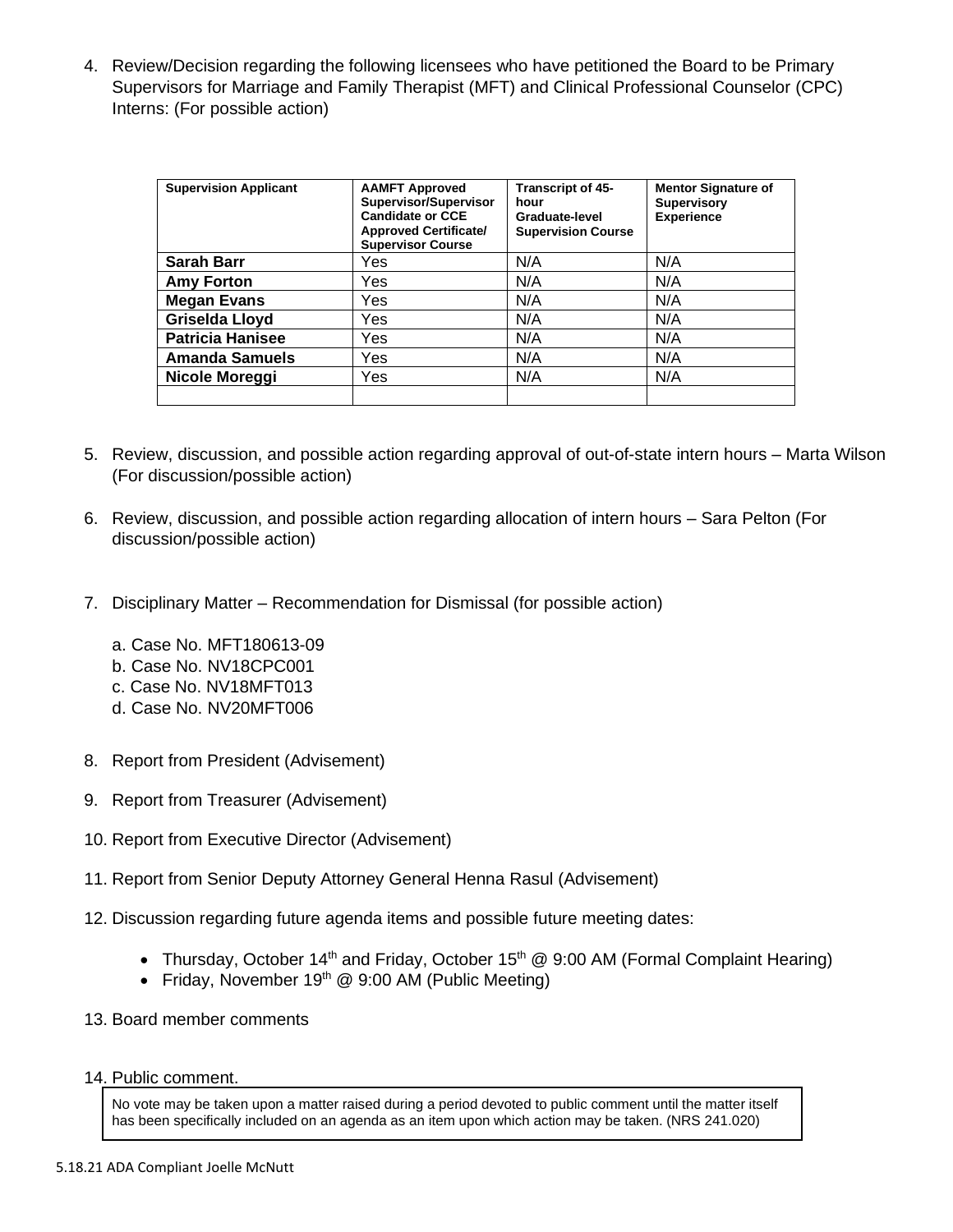4. Review/Decision regarding the following licensees who have petitioned the Board to be Primary Supervisors for Marriage and Family Therapist (MFT) and Clinical Professional Counselor (CPC) Interns: (For possible action)

| <b>Supervision Applicant</b> | <b>AAMFT Approved</b><br>Supervisor/Supervisor<br><b>Candidate or CCE</b><br><b>Approved Certificate/</b><br><b>Supervisor Course</b> | Transcript of 45-<br>hour<br>Graduate-level<br><b>Supervision Course</b> | <b>Mentor Signature of</b><br><b>Supervisory</b><br><b>Experience</b> |
|------------------------------|---------------------------------------------------------------------------------------------------------------------------------------|--------------------------------------------------------------------------|-----------------------------------------------------------------------|
| <b>Sarah Barr</b>            | Yes                                                                                                                                   | N/A                                                                      | N/A                                                                   |
| <b>Amy Forton</b>            | Yes                                                                                                                                   | N/A                                                                      | N/A                                                                   |
| <b>Megan Evans</b>           | Yes                                                                                                                                   | N/A                                                                      | N/A                                                                   |
| <b>Griselda Lloyd</b>        | Yes                                                                                                                                   | N/A                                                                      | N/A                                                                   |
| <b>Patricia Hanisee</b>      | Yes                                                                                                                                   | N/A                                                                      | N/A                                                                   |
| <b>Amanda Samuels</b>        | Yes                                                                                                                                   | N/A                                                                      | N/A                                                                   |
| Nicole Moreggi               | Yes.                                                                                                                                  | N/A                                                                      | N/A                                                                   |
|                              |                                                                                                                                       |                                                                          |                                                                       |

- 5. Review, discussion, and possible action regarding approval of out-of-state intern hours Marta Wilson (For discussion/possible action)
- 6. Review, discussion, and possible action regarding allocation of intern hours Sara Pelton (For discussion/possible action)
- 7. Disciplinary Matter Recommendation for Dismissal (for possible action)
	- a. Case No. MFT180613-09
	- b. Case No. NV18CPC001
	- c. Case No. NV18MFT013
	- d. Case No. NV20MFT006
- 8. Report from President (Advisement)
- 9. Report from Treasurer (Advisement)
- 10. Report from Executive Director (Advisement)
- 11. Report from Senior Deputy Attorney General Henna Rasul (Advisement)
- 12. Discussion regarding future agenda items and possible future meeting dates:
	- Thursday, October 14<sup>th</sup> and Friday, October 15<sup>th</sup> @ 9:00 AM (Formal Complaint Hearing)
	- Friday, November  $19<sup>th</sup>$  @ 9:00 AM (Public Meeting)
- 13. Board member comments
- 14. Public comment.

No vote may be taken upon a matter raised during a period devoted to public comment until the matter itself has been specifically included on an agenda as an item upon which action may be taken. (NRS 241.020)